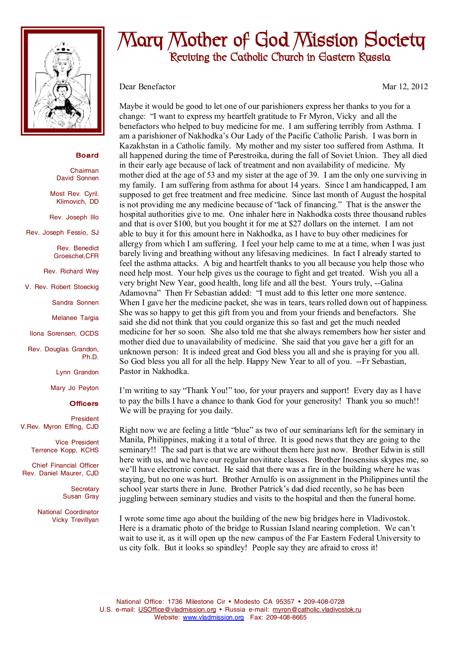

## **Board**

Chairman David Sonnen

Most Rev. Cyril. Klimovich, DD

Rev. Joseph Illo

Rev. Joseph Fessio, SJ

Rev. Benedict Groeschel,CFR

Rev. Richard Wey

V. Rev. Robert Stoeckig

Sandra Sonnen

Melanee Targia

Ilona Sorensen, OCDS

Rev. Douglas Grandon, Ph.D.

Lynn Grandon

Mary Jo Peyton

## **Officers**

President V.Rev. Myron Effing, CJD

> Vice President Terrence Kopp, KCHS

Chief Financial Officer Rev. Daniel Maurer, CJD

> **Secretary** Susan Gray

National Coordinator Vicky Trevillyan

## **Mary Mother of God Mission Society Reviving the Catholic Church in Eastern Russia**

Dear Benefactor Mar 12, 2012

Maybe it would be good to let one of our parishioners express her thanks to you for a change: "I want to express my heartfelt gratitude to Fr Myron, Vicky and all the benefactors who helped to buy medicine for me. I am suffering terribly from Asthma. I am a parishioner of Nakhodka's Our Lady of the Pacific Catholic Parish. I was born in Kazakhstan in a Catholic family. My mother and my sister too suffered from Asthma. It all happened during the time of Perestroika, during the fall of Soviet Union. They all died in their early age because of lack of treatment and non availability of medicine. My mother died at the age of 53 and my sister at the age of 39. I am the only one surviving in my family. I am suffering from asthma for about 14 years. Since I am handicapped, I am supposed to get free treatment and free medicine. Since last month of August the hospital is not providing me any medicine because of "lack of financing." That is the answer the hospital authorities give to me. One inhaler here in Nakhodka costs three thousand rubles and that is over \$100, but you bought it for me at \$27 dollars on the internet. I am not able to buy it for this amount here in Nakhodka, as I have to buy other medicines for allergy from which I am suffering. I feel your help came to me at a time, when I was just barely living and breathing without any lifesaving medicines. In fact I already started to feel the asthma attacks. A big and heartfelt thanks to you all because you help those who need help most. Your help gives us the courage to fight and get treated. Wish you all a very bright New Year, good health, long life and all the best. Yours truly, --Galina Adamovna" Then Fr Sebastian added: "I must add to this letter one more sentence. When I gave her the medicine packet, she was in tears, tears rolled down out of happiness. She was so happy to get this gift from you and from your friends and benefactors. She said she did not think that you could organize this so fast and get the much needed medicine for her so soon. She also told me that she always remembers how her sister and mother died due to unavailability of medicine. She said that you gave her a gift for an unknown person: It is indeed great and God bless you all and she is praying for you all. So God bless you all for all the help. Happy New Year to all of you. --Fr Sebastian, Pastor in Nakhodka.

I'm writing to say "Thank You!" too, for your prayers and support! Every day as I have to pay the bills I have a chance to thank God for your generosity! Thank you so much!! We will be praying for you daily.

Right now we are feeling a little "blue" as two of our seminarians left for the seminary in Manila, Philippines, making it a total of three. It is good news that they are going to the seminary!! The sad part is that we are without them here just now. Brother Edwin is still here with us, and we have our regular novititate classes. Brother Inosensius skypes me, so we'll have electronic contact. He said that there was a fire in the building where he was staying, but no one was hurt. Brother Arnulfo is on assignment in the Philippines until the school year starts there in June. Brother Patrick's dad died recently, so he has been juggling between seminary studies and visits to the hospital and then the funeral home.

I wrote some time ago about the building of the new big bridges here in Vladivostok. Here is a dramatic photo of the bridge to Russian Island nearing completion. We can't wait to use it, as it will open up the new campus of the Far Eastern Federal University to us city folk. But it looks so spindley! People say they are afraid to cross it!